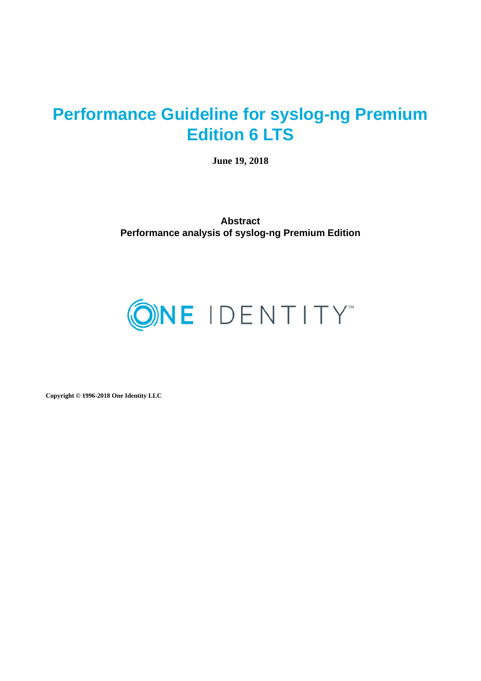# **Performance Guideline for syslog-ng Premium Edition 6 LTS**

**June 19, 2018**

**Abstract Performance analysis of syslog-ng Premium Edition**



**Copyright © 1996-2018 One Identity LLC**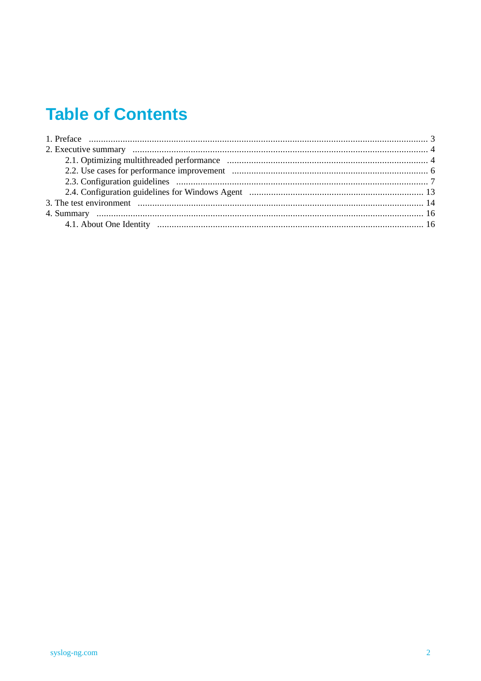# **Table of Contents**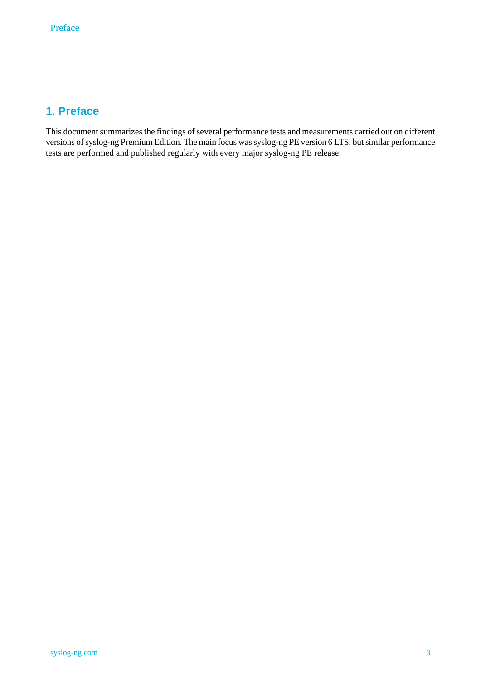# <span id="page-2-0"></span>**1. Preface**

This document summarizes the findings of several performance tests and measurements carried out on different versions of syslog-ng Premium Edition. The main focus was syslog-ng PE version 6 LTS, but similar performance tests are performed and published regularly with every major syslog-ng PE release.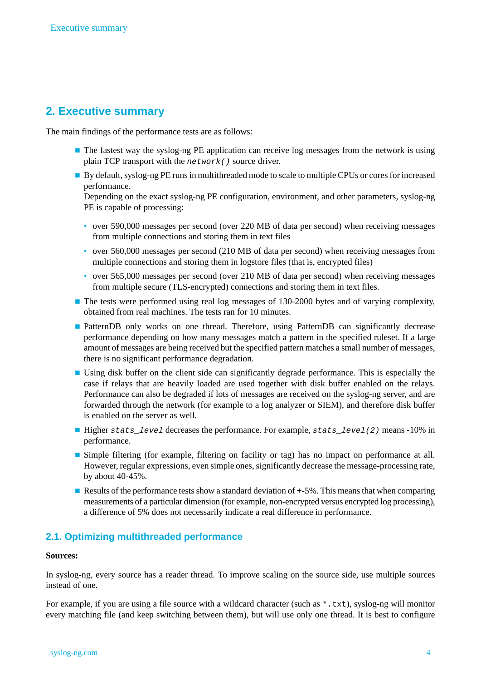## <span id="page-3-0"></span>**2. Executive summary**

The main findings of the performance tests are as follows:

- The fastest way the syslog-ng PE application can receive log messages from the network is using plain TCP transport with the *network()* source driver.
- By default, syslog-ng PE runs in multithreaded mode to scale to multiple CPUs or cores for increased performance.

Depending on the exact syslog-ng PE configuration, environment, and other parameters, syslog-ng PE is capable of processing:

- over 590,000 messages per second (over 220 MB of data per second) when receiving messages from multiple connections and storing them in text files
- over 560,000 messages per second (210 MB of data per second) when receiving messages from multiple connections and storing them in logstore files (that is, encrypted files)
- over 565,000 messages per second (over 210 MB of data per second) when receiving messages from multiple secure (TLS-encrypted) connections and storing them in text files.
- The tests were performed using real log messages of 130-2000 bytes and of varying complexity, obtained from real machines. The tests ran for 10 minutes.
- PatternDB only works on one thread. Therefore, using PatternDB can significantly decrease performance depending on how many messages match a pattern in the specified ruleset. If a large amount of messages are being received but the specified pattern matches a small number of messages, there is no significant performance degradation.
- Using disk buffer on the client side can significantly degrade performance. This is especially the case if relays that are heavily loaded are used together with disk buffer enabled on the relays. Performance can also be degraded if lots of messages are received on the syslog-ng server, and are forwarded through the network (for example to a log analyzer or SIEM), and therefore disk buffer is enabled on the server as well.
- Higher *stats\_level* decreases the performance. For example, *stats\_level(2)* means -10% in performance.
- Simple filtering (for example, filtering on facility or tag) has no impact on performance at all. However, regular expressions, even simple ones, significantly decrease the message-processing rate, by about 40-45%.
- <span id="page-3-1"></span>**Example 3** Results of the performance tests show a standard deviation of  $+5\%$ . This means that when comparing measurements of a particular dimension (for example, non-encrypted versus encrypted log processing), a difference of 5% does not necessarily indicate a real difference in performance.

## **2.1. Optimizing multithreaded performance**

#### **Sources:**

In syslog-ng, every source has a reader thread. To improve scaling on the source side, use multiple sources instead of one.

For example, if you are using a file source with a wildcard character (such as \*.txt), syslog-ng will monitor every matching file (and keep switching between them), but will use only one thread. It is best to configure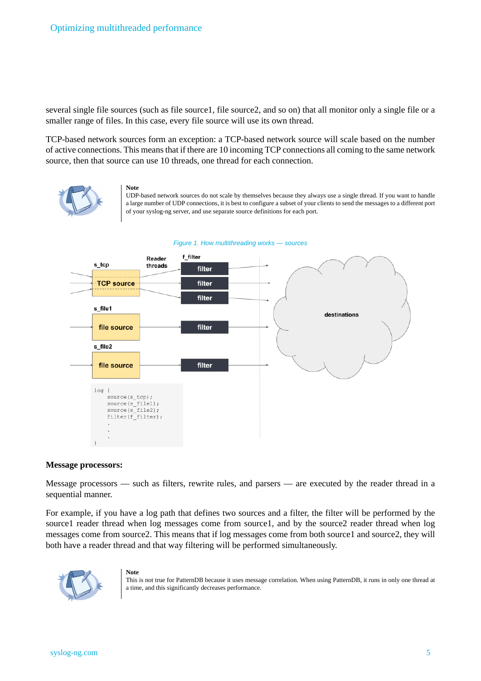several single file sources (such as file source1, file source2, and so on) that all monitor only a single file or a smaller range of files. In this case, every file source will use its own thread.

TCP-based network sources form an exception: a TCP-based network source will scale based on the number of active connections. This meansthat if there are 10 incoming TCP connections all coming to the same network source, then that source can use 10 threads, one thread for each connection.



**Note** UDP-based network sources do not scale by themselves because they always use a single thread. If you want to handle a large number of UDP connections, it is best to configure a subset of your clients to send the messages to a different port of your syslog-ng server, and use separate source definitions for each port.





#### **Message processors:**

Message processors — such as filters, rewrite rules, and parsers — are executed by the reader thread in a sequential manner.

For example, if you have a log path that defines two sources and a filter, the filter will be performed by the source1 reader thread when log messages come from source1, and by the source2 reader thread when log messages come from source2. This means that if log messages come from both source1 and source2, they will both have a reader thread and that way filtering will be performed simultaneously.



#### **Note**

This is not true for PatternDB because it uses message correlation. When using PatternDB, it runs in only one thread at a time, and this significantly decreases performance.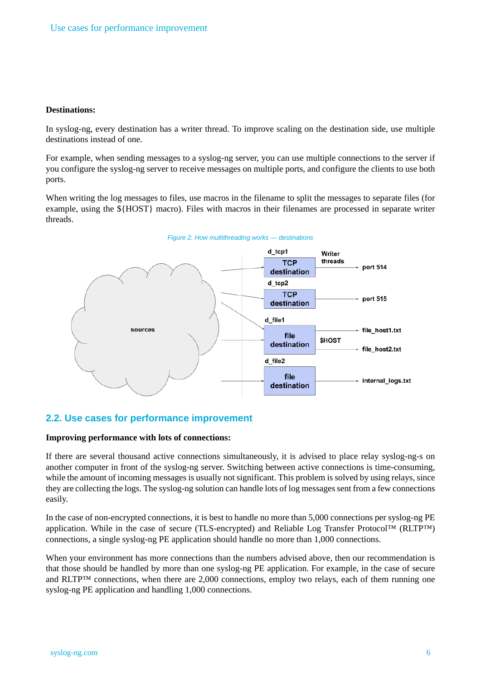#### **Destinations:**

In syslog-ng, every destination has a writer thread. To improve scaling on the destination side, use multiple destinations instead of one.

For example, when sending messages to a syslog-ng server, you can use multiple connections to the server if you configure the syslog-ng server to receive messages on multiple ports, and configure the clients to use both ports.

When writing the log messages to files, use macros in the filename to split the messages to separate files (for example, using the \${HOST} macro). Files with macros in their filenames are processed in separate writer threads.



## <span id="page-5-0"></span>**2.2. Use cases for performance improvement**

#### **Improving performance with lots of connections:**

If there are several thousand active connections simultaneously, it is advised to place relay syslog-ng-s on another computer in front of the syslog-ng server. Switching between active connections is time-consuming, while the amount of incoming messages is usually not significant. This problem is solved by using relays, since they are collecting the logs. The syslog-ng solution can handle lots of log messages sent from a few connections easily.

In the case of non-encrypted connections, it is best to handle no more than 5,000 connections per syslog-ng PE application. While in the case of secure (TLS-encrypted) and Reliable Log Transfer Protocol™ (RLTP™) connections, a single syslog-ng PE application should handle no more than 1,000 connections.

When your environment has more connections than the numbers advised above, then our recommendation is that those should be handled by more than one syslog-ng PE application. For example, in the case of secure and RLTP™ connections, when there are 2,000 connections, employ two relays, each of them running one syslog-ng PE application and handling 1,000 connections.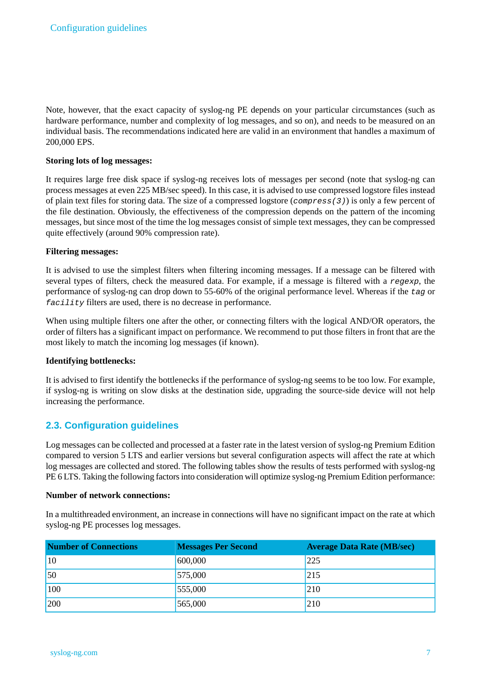Note, however, that the exact capacity of syslog-ng PE depends on your particular circumstances (such as hardware performance, number and complexity of log messages, and so on), and needs to be measured on an individual basis. The recommendations indicated here are valid in an environment that handles a maximum of 200,000 EPS.

### **Storing lots of log messages:**

It requires large free disk space if syslog-ng receives lots of messages per second (note that syslog-ng can process messages at even 225 MB/sec speed). In this case, it is advised to use compressed logstore files instead of plain text files for storing data. The size of a compressed logstore (*compress(3)*) is only a few percent of the file destination. Obviously, the effectiveness of the compression depends on the pattern of the incoming messages, but since most of the time the log messages consist of simple text messages, they can be compressed quite effectively (around 90% compression rate).

### **Filtering messages:**

It is advised to use the simplest filters when filtering incoming messages. If a message can be filtered with several types of filters, check the measured data. For example, if a message is filtered with a *regexp*, the performance of syslog-ng can drop down to 55-60% of the original performance level. Whereas if the *tag* or *facility* filters are used, there is no decrease in performance.

When using multiple filters one after the other, or connecting filters with the logical AND/OR operators, the order of filters has a significant impact on performance. We recommend to put those filters in front that are the most likely to match the incoming log messages (if known).

## **Identifying bottlenecks:**

<span id="page-6-0"></span>It is advised to first identify the bottlenecks if the performance of syslog-ng seems to be too low. For example, if syslog-ng is writing on slow disks at the destination side, upgrading the source-side device will not help increasing the performance.

## **2.3. Configuration guidelines**

Log messages can be collected and processed at a faster rate in the latest version of syslog-ng Premium Edition compared to version 5 LTS and earlier versions but several configuration aspects will affect the rate at which log messages are collected and stored. The following tables show the results of tests performed with syslog-ng PE 6 LTS. Taking the following factorsinto consideration will optimize syslog-ng Premium Edition performance:

#### **Number of network connections:**

In a multithreaded environment, an increase in connections will have no significant impact on the rate at which syslog-ng PE processes log messages.

| <b>Number of Connections</b> | <b>Messages Per Second</b> | <b>Average Data Rate (MB/sec)</b> |
|------------------------------|----------------------------|-----------------------------------|
| 10                           | 600,000                    | 225                               |
| 50                           | 575,000                    | 215                               |
| 100                          | 555,000                    | 210                               |
| 200                          | 565,000                    | 210                               |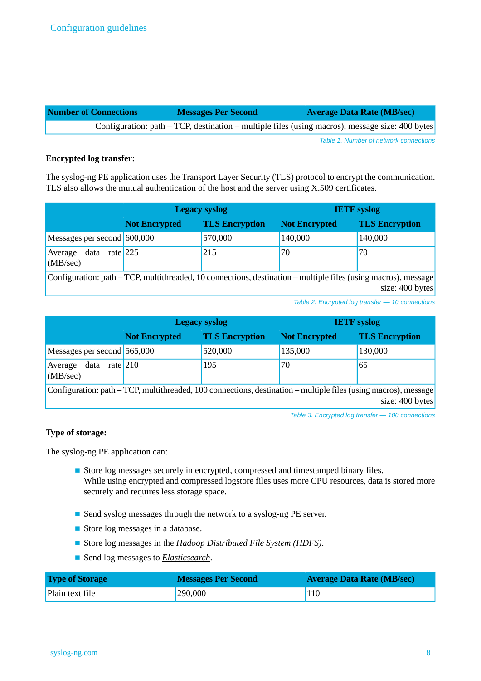| <b>Number of Connections</b> | <b>Messages Per Second</b> | <b>Average Data Rate (MB/sec)</b>                                                               |
|------------------------------|----------------------------|-------------------------------------------------------------------------------------------------|
|                              |                            | Configuration: path – TCP, destination – multiple files (using macros), message size: 400 bytes |

*Table 1. Number of network connections*

#### **Encrypted log transfer:**

The syslog-ng PE application uses the Transport Layer Security (TLS) protocol to encrypt the communication. TLS also allows the mutual authentication of the host and the server using X.509 certificates.

|                                                                                                                | <b>Legacy syslog</b> |                       | <b>IETF</b> syslog   |                       |
|----------------------------------------------------------------------------------------------------------------|----------------------|-----------------------|----------------------|-----------------------|
|                                                                                                                | <b>Not Encrypted</b> | <b>TLS Encryption</b> | <b>Not Encrypted</b> | <b>TLS Encryption</b> |
| Messages per second 600,000                                                                                    |                      | 570,000               | 140,000              | 140,000               |
| data<br>Average<br>(MB/sec)                                                                                    | rate $225$           | 215                   | 70                   | 70                    |
| Configuration: path – TCP, multithreaded, 10 connections, destination – multiple files (using macros), message |                      |                       |                      |                       |

size: 400 bytes

*Table 2. Encrypted log transfer — 10 connections*

|                                                                                                                                        | <b>Legacy syslog</b> |                       | <b>IETF</b> syslog   |                       |
|----------------------------------------------------------------------------------------------------------------------------------------|----------------------|-----------------------|----------------------|-----------------------|
|                                                                                                                                        | <b>Not Encrypted</b> | <b>TLS Encryption</b> | <b>Not Encrypted</b> | <b>TLS Encryption</b> |
| Messages per second 565,000                                                                                                            |                      | 520,000               | 135,000              | 130,000               |
| 195<br>65<br>Average data<br>70<br>rate $210$<br>(MB/sec)                                                                              |                      |                       |                      |                       |
| Configuration: path $-$ TCP, multithreaded, 100 connections, destination $-$ multiple files (using macros), message<br>size: 400 bytes |                      |                       |                      |                       |

*Table 3. Encrypted log transfer — 100 connections*

## **Type of storage:**

The syslog-ng PE application can:

- Store log messages securely in encrypted, compressed and timestamped binary files. While using encrypted and compressed logstore files uses more CPU resources, data is stored more securely and requires less storage space.
- Send syslog messages through the network to a syslog-ng PE server.
- Store log messages in a database.
- Store log messages in the *Hadoop [Distributed](http://hadoop.apache.org/) File System (HDFS)*.
- Send log messages to *[Elasticsearch](https://www.elastic.co/products/elasticsearch)*.

| <b>Type of Storage</b> | <b>Messages Per Second</b> | <b>Average Data Rate (MB/sec)</b> |
|------------------------|----------------------------|-----------------------------------|
| Plain text file        | 290,000                    | <b>110</b>                        |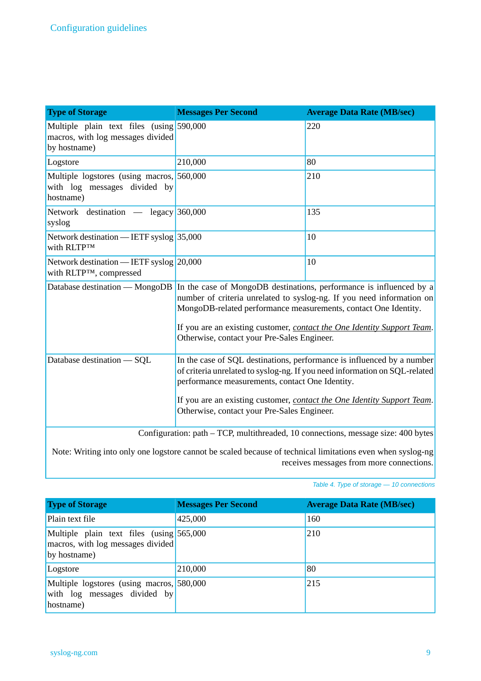| <b>Type of Storage</b>                                                                        | <b>Messages Per Second</b>                                                                                                                                                                                                                                                                                                                                               | <b>Average Data Rate (MB/sec)</b> |  |
|-----------------------------------------------------------------------------------------------|--------------------------------------------------------------------------------------------------------------------------------------------------------------------------------------------------------------------------------------------------------------------------------------------------------------------------------------------------------------------------|-----------------------------------|--|
| Multiple plain text files (using 590,000<br>macros, with log messages divided<br>by hostname) |                                                                                                                                                                                                                                                                                                                                                                          | 220                               |  |
| Logstore                                                                                      | 210,000<br>80                                                                                                                                                                                                                                                                                                                                                            |                                   |  |
| Multiple logstores (using macros, 560,000<br>with log messages divided by<br>hostname)        | 210                                                                                                                                                                                                                                                                                                                                                                      |                                   |  |
| Network destination — legacy 360,000<br>syslog                                                |                                                                                                                                                                                                                                                                                                                                                                          | 135                               |  |
| Network destination — IETF syslog $35,000$<br>With RLTPTM                                     |                                                                                                                                                                                                                                                                                                                                                                          | 10                                |  |
| Network destination - IETF syslog 20,000<br>with RLTPTM, compressed                           |                                                                                                                                                                                                                                                                                                                                                                          | 10                                |  |
|                                                                                               | Database destination — MongoDB In the case of MongoDB destinations, performance is influenced by a<br>number of criteria unrelated to syslog-ng. If you need information on<br>MongoDB-related performance measurements, contact One Identity.<br>If you are an existing customer, contact the One Identity Support Team.<br>Otherwise, contact your Pre-Sales Engineer. |                                   |  |
| Database destination - SQL                                                                    | In the case of SQL destinations, performance is influenced by a number<br>of criteria unrelated to syslog-ng. If you need information on SQL-related<br>performance measurements, contact One Identity.<br>If you are an existing customer, contact the One Identity Support Team.<br>Otherwise, contact your Pre-Sales Engineer.                                        |                                   |  |
| Configuration: path - TCP, multithreaded, 10 connections, message size: 400 bytes             |                                                                                                                                                                                                                                                                                                                                                                          |                                   |  |

Note: Writing into only one logstore cannot be scaled because of technical limitations even when syslog-ng receives messages from more connections.

| Table 4. Type of storage $-10$ connections |  |  |  |
|--------------------------------------------|--|--|--|
|--------------------------------------------|--|--|--|

| <b>Type of Storage</b>                                                                        | <b>Messages Per Second</b> | <b>Average Data Rate (MB/sec)</b> |
|-----------------------------------------------------------------------------------------------|----------------------------|-----------------------------------|
| Plain text file                                                                               | 425,000                    | 160                               |
| Multiple plain text files (using 565,000<br>macros, with log messages divided<br>by hostname) |                            | 210                               |
| Logstore                                                                                      | 210,000                    | 80                                |
| Multiple logstores (using macros, 580,000<br>with log messages divided by<br>hostname)        |                            | 215                               |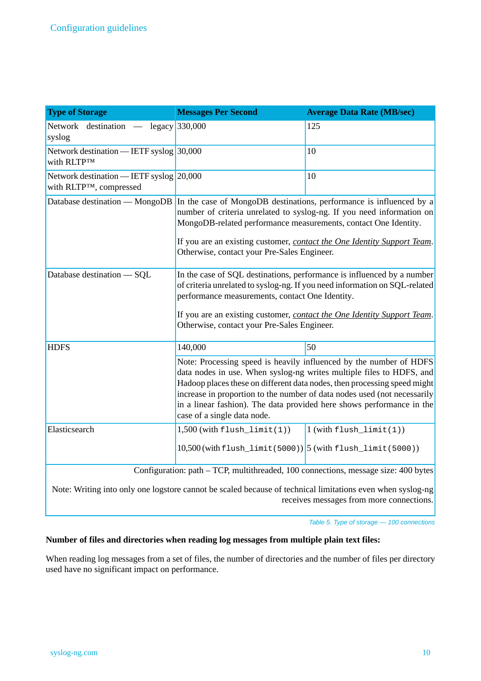| <b>Type of Storage</b>                                                                                     | <b>Messages Per Second</b>                                                                                                                                                                                                                                                                                                                                                                                 | <b>Average Data Rate (MB/sec)</b> |  |
|------------------------------------------------------------------------------------------------------------|------------------------------------------------------------------------------------------------------------------------------------------------------------------------------------------------------------------------------------------------------------------------------------------------------------------------------------------------------------------------------------------------------------|-----------------------------------|--|
| Network destination — legacy 330,000<br>syslog                                                             |                                                                                                                                                                                                                                                                                                                                                                                                            | 125                               |  |
| Network destination — IETF syslog $ 30,000 $<br>With RLTPTM                                                | 10                                                                                                                                                                                                                                                                                                                                                                                                         |                                   |  |
| Network destination — IETF syslog $20,000$<br>with RLTP™, compressed                                       | 10                                                                                                                                                                                                                                                                                                                                                                                                         |                                   |  |
|                                                                                                            | Database destination — MongoDB In the case of MongoDB destinations, performance is influenced by a<br>number of criteria unrelated to syslog-ng. If you need information on<br>MongoDB-related performance measurements, contact One Identity.<br>If you are an existing customer, contact the One Identity Support Team.<br>Otherwise, contact your Pre-Sales Engineer.                                   |                                   |  |
| Database destination - SQL                                                                                 | In the case of SQL destinations, performance is influenced by a number<br>of criteria unrelated to syslog-ng. If you need information on SQL-related<br>performance measurements, contact One Identity.<br>If you are an existing customer, contact the One Identity Support Team.<br>Otherwise, contact your Pre-Sales Engineer.                                                                          |                                   |  |
| <b>HDFS</b>                                                                                                | 50<br>140,000                                                                                                                                                                                                                                                                                                                                                                                              |                                   |  |
|                                                                                                            | Note: Processing speed is heavily influenced by the number of HDFS<br>data nodes in use. When syslog-ng writes multiple files to HDFS, and<br>Hadoop places these on different data nodes, then processing speed might<br>increase in proportion to the number of data nodes used (not necessarily<br>in a linear fashion). The data provided here shows performance in the<br>case of a single data node. |                                   |  |
| Elasticsearch                                                                                              | $1,500$ (with flush_limit(1))                                                                                                                                                                                                                                                                                                                                                                              | $1$ (with $flush\_limit(1)$ )     |  |
|                                                                                                            | $10,500$ (with flush_limit (5000)) $5$ (with flush_limit (5000))                                                                                                                                                                                                                                                                                                                                           |                                   |  |
| Configuration: path - TCP, multithreaded, 100 connections, message size: 400 bytes                         |                                                                                                                                                                                                                                                                                                                                                                                                            |                                   |  |
| Note: Writing into only ano logatore cannot be scaled because of technical limitations aven when system as |                                                                                                                                                                                                                                                                                                                                                                                                            |                                   |  |

Note: Writing into only one logstore cannot be scaled because of technical limitations even when syslog-ng receives messages from more connections.

*Table 5. Type of storage — 100 connections*

## **Number of files and directories when reading log messages from multiple plain text files:**

When reading log messages from a set of files, the number of directories and the number of files per directory used have no significant impact on performance.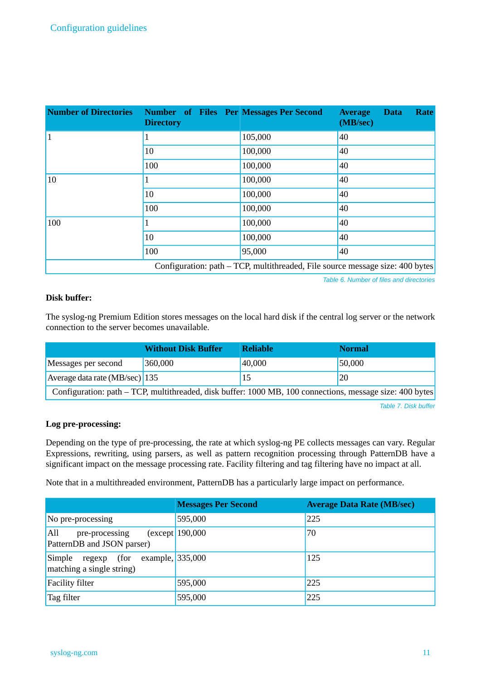| <b>Number of Directories</b>                                                  | <b>Number</b> of Files Per Messages Per Second<br><b>Directory</b> |         | <b>Rate</b><br><b>Average</b><br><b>Data</b><br>(MB/sec) |  |
|-------------------------------------------------------------------------------|--------------------------------------------------------------------|---------|----------------------------------------------------------|--|
| $\vert$ 1                                                                     | 1                                                                  | 105,000 | 40                                                       |  |
|                                                                               | 10                                                                 | 100,000 | 40                                                       |  |
|                                                                               | 100                                                                | 100,000 | 40                                                       |  |
| 10                                                                            |                                                                    | 100,000 | 40                                                       |  |
|                                                                               | 10                                                                 | 100,000 | 40                                                       |  |
|                                                                               | 100                                                                | 100,000 | 40                                                       |  |
| 100                                                                           |                                                                    | 100,000 | 40                                                       |  |
|                                                                               | 10                                                                 | 100,000 | 40                                                       |  |
|                                                                               | 100                                                                | 95,000  | 40                                                       |  |
| Configuration: path – TCP, multithreaded, File source message size: 400 bytes |                                                                    |         |                                                          |  |

*Table 6. Number of files and directories*

### **Disk buffer:**

The syslog-ng Premium Edition stores messages on the local hard disk if the central log server or the network connection to the server becomes unavailable.

|                                                                                                          | <b>Without Disk Buffer</b> | <b>Reliable</b> | <b>Normal</b> |
|----------------------------------------------------------------------------------------------------------|----------------------------|-----------------|---------------|
| Messages per second                                                                                      | 360,000                    | 40,000          | 150,000       |
| Average data rate $(MB/sec)$ 135                                                                         |                            | 15              | 20            |
| Configuration: path – TCP, multithreaded, disk buffer: 1000 MB, 100 connections, message size: 400 bytes |                            |                 |               |

*Table 7. Disk buffer*

#### **Log pre-processing:**

Depending on the type of pre-processing, the rate at which syslog-ng PE collects messages can vary. Regular Expressions, rewriting, using parsers, as well as pattern recognition processing through PatternDB have a significant impact on the message processing rate. Facility filtering and tag filtering have no impact at all.

Note that in a multithreaded environment, PatternDB has a particularly large impact on performance.

|                                                                        | <b>Messages Per Second</b> | <b>Average Data Rate (MB/sec)</b> |
|------------------------------------------------------------------------|----------------------------|-----------------------------------|
| No pre-processing                                                      | 595,000                    | 225                               |
| All<br>pre-processing<br>PatternDB and JSON parser)                    | (except   190,000          | 70                                |
| Simple regexp<br>example, 335,000<br>(for<br>matching a single string) |                            | 125                               |
| <b>Facility filter</b>                                                 | 595,000                    | 225                               |
| Tag filter                                                             | 595,000                    | 225                               |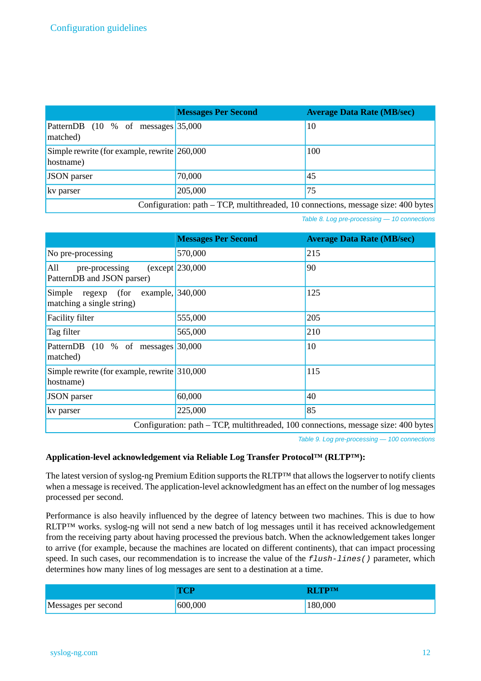|                                                                                      | <b>Messages Per Second</b> | <b>Average Data Rate (MB/sec)</b> |
|--------------------------------------------------------------------------------------|----------------------------|-----------------------------------|
| PatternDB (10 % of messages 35,000<br>matched)                                       |                            | <sup>10</sup>                     |
| Simple rewrite (for example, rewrite 260,000<br>hostname)                            |                            | 100                               |
| JSON parser                                                                          | 70,000                     | 45                                |
| kv parser                                                                            | 205,000                    | 75                                |
| Configuration: $path - TCP$ , multithreaded, 10 connections, message size: 400 bytes |                            |                                   |

*Table 8. Log pre-processing — 10 connections*

|                                                                                    | <b>Messages Per Second</b> | <b>Average Data Rate (MB/sec)</b> |
|------------------------------------------------------------------------------------|----------------------------|-----------------------------------|
| No pre-processing                                                                  | 570,000                    | 215                               |
| All<br>pre-processing<br>PatternDB and JSON parser)                                | $(except$ 230,000          | 90                                |
| example, 340,000<br>Simple<br>(for<br>regexp<br>matching a single string)          |                            | 125                               |
| Facility filter                                                                    | 555,000                    | 205                               |
| Tag filter                                                                         | 565,000                    | 210                               |
| PatternDB (10 % of messages 30,000<br>matched)                                     |                            | 10                                |
| Simple rewrite (for example, rewrite 310,000<br>hostname)                          |                            | 115                               |
| <b>JSON</b> parser                                                                 | 60,000                     | 40                                |
| kv parser                                                                          | 225,000                    | 85                                |
| Configuration: path – TCP, multithreaded, 100 connections, message size: 400 bytes |                            |                                   |

*Table 9. Log pre-processing — 100 connections*

## **Application-level acknowledgement via Reliable Log Transfer Protocol™ (RLTP™):**

The latest version of syslog-ng Premium Edition supports the RLTP™ that allows the logserver to notify clients when a message is received. The application-level acknowledgment has an effect on the number of log messages processed per second.

Performance is also heavily influenced by the degree of latency between two machines. This is due to how RLTP™ works. syslog-ng will not send a new batch of log messages until it has received acknowledgement from the receiving party about having processed the previous batch. When the acknowledgement takes longer to arrive (for example, because the machines are located on different continents), that can impact processing speed. In such cases, our recommendation is to increase the value of the *flush-lines()* parameter, which determines how many lines of log messages are sent to a destination at a time.

|                     | TCP.    | <b>RI TPIM</b> |
|---------------------|---------|----------------|
| Messages per second | 600,000 | 180,000        |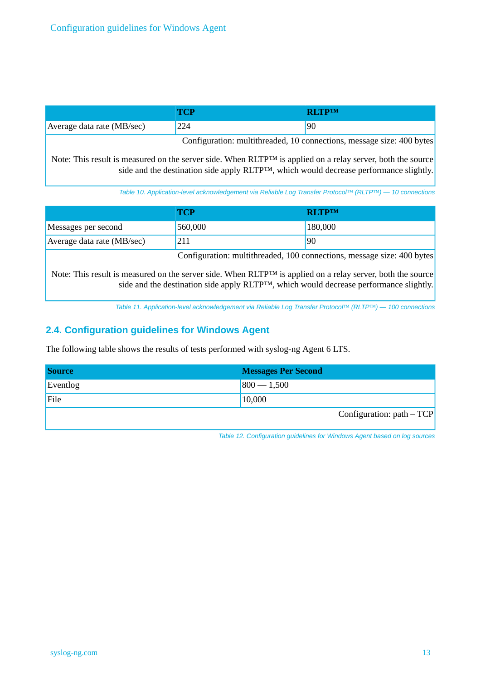|                            |     | <b>DI TD</b> TM |
|----------------------------|-----|-----------------|
| Average data rate (MB/sec) | 224 | 90              |

Configuration: multithreaded, 10 connections, message size: 400 bytes

Note: This result is measured on the server side. When RLTP™ is applied on a relay server, both the source side and the destination side apply RLTP™, which would decrease performance slightly.

*Table 10. Application-level acknowledgement via Reliable Log Transfer Protocol™ (RLTP™) — 10 connections*

|                            | TCP                                                                                                                                                       | <b>RITPTM</b> |
|----------------------------|-----------------------------------------------------------------------------------------------------------------------------------------------------------|---------------|
| Messages per second        | 560,000                                                                                                                                                   | 180,000       |
| Average data rate (MB/sec) | 211                                                                                                                                                       | 90            |
|                            | $C_1, C_2, \ldots, C_n$ . $C_1, C_2, \ldots, C_n$ . $C_2, C_3, \ldots, C_n$ . $C_3, C_4, \ldots, C_n$ . $C_4, C_5, \ldots, C_n$ . $C_5, C_6, \ldots, C_n$ |               |

Configuration: multithreaded, 100 connections, message size: 400 bytes

<span id="page-12-0"></span>Note: This result is measured on the server side. When RLTP™ is applied on a relay server, both the source side and the destination side apply RLTP™, which would decrease performance slightly.

*Table 11. Application-level acknowledgement via Reliable Log Transfer Protocol™ (RLTP™) — 100 connections*

## **2.4. Configuration guidelines for Windows Agent**

The following table shows the results of tests performed with syslog-ng Agent 6 LTS.

| <b>Source</b> | <b>Messages Per Second</b>  |
|---------------|-----------------------------|
| Eventlog      | $800 - 1,500$               |
| File          | 10,000                      |
|               | Configuration: $path - TCP$ |

*Table 12. Configuration guidelines for Windows Agent based on log sources*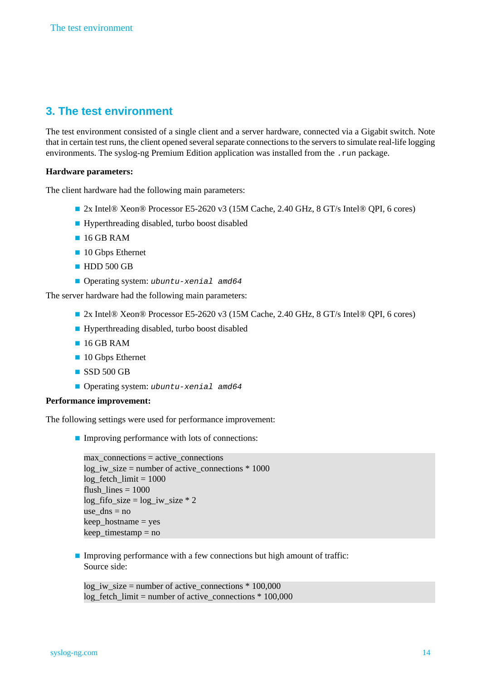# <span id="page-13-0"></span>**3. The test environment**

The test environment consisted of a single client and a server hardware, connected via a Gigabit switch. Note that in certain test runs, the client opened several separate connections to the servers to simulate real-life logging environments. The syslog-ng Premium Edition application was installed from the .run package.

### **Hardware parameters:**

The client hardware had the following main parameters:

- 2x Intel® Xeon® Processor E5-2620 v3 (15M Cache, 2.40 GHz, 8 GT/s Intel® QPI, 6 cores)
- Hyperthreading disabled, turbo boost disabled
- 16 GB RAM
- 10 Gbps Ethernet
- HDD 500 GB
- Operating system: *ubuntu-xenial amd64*

The server hardware had the following main parameters:

- 2x Intel® Xeon® Processor E5-2620 v3 (15M Cache, 2.40 GHz, 8 GT/s Intel® QPI, 6 cores)
- Hyperthreading disabled, turbo boost disabled
- 16 GB RAM
- 10 Gbps Ethernet
- SSD 500 GB
- Operating system: *ubuntu-xenial amd64*

#### **Performance improvement:**

The following settings were used for performance improvement:

■ Improving performance with lots of connections:

```
max connections = active connections
log iw_size = number of active_connections * 1000
log fetch limit = 1000flush lines = 1000log fifo size = log iw size * 2use \text{dns} = \text{no}keep hostname = yes
keep_timestamp = no
```
■ Improving performance with a few connections but high amount of traffic: Source side:

 $log_i$  iw\_size = number of active\_connections  $*$  100,000 log\_fetch\_limit = number of active\_connections \* 100,000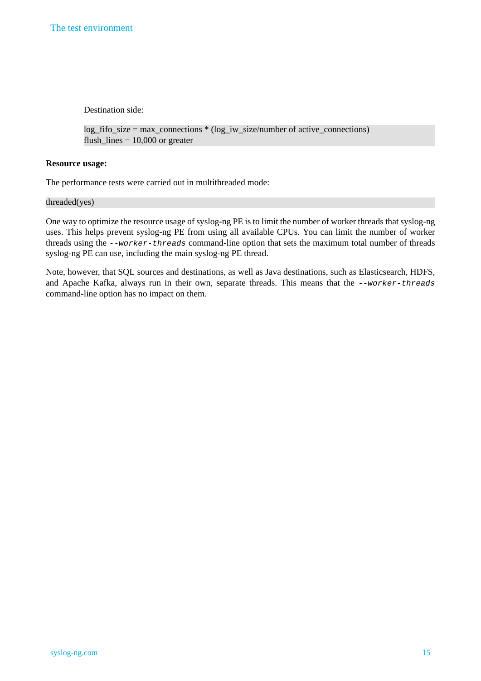Destination side:

```
log_fifo_size = max_connections * (log_iw_size/number of active_connections)
flush_lines = 10,000 or greater
```
#### **Resource usage:**

The performance tests were carried out in multithreaded mode:

#### threaded(yes)

One way to optimize the resource usage of syslog-ng PE is to limit the number of worker threads that syslog-ng uses. This helps prevent syslog-ng PE from using all available CPUs. You can limit the number of worker threads using the *--worker-threads* command-line option that sets the maximum total number of threads syslog-ng PE can use, including the main syslog-ng PE thread.

Note, however, that SQL sources and destinations, as well as Java destinations, such as Elasticsearch, HDFS, and Apache Kafka, always run in their own, separate threads. This means that the *--worker-threads* command-line option has no impact on them.